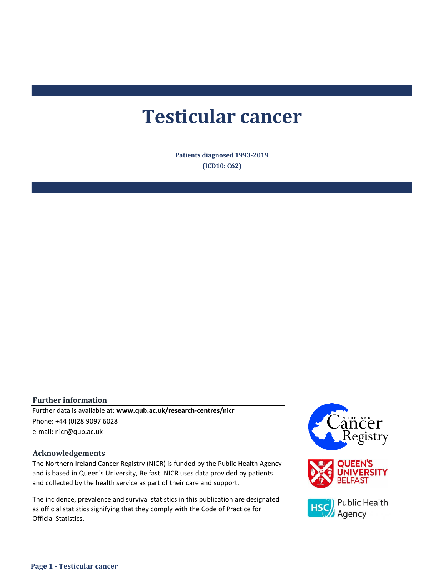# **Testicular cancer**

**Patients diagnosed 1993-2019 (ICD10: C62)**

#### **Further information**

e-mail: nicr@qub.ac.uk Further data is available at: **www.qub.ac.uk/research-centres/nicr** Phone: +44 (0)28 9097 6028

#### **Acknowledgements**

The Northern Ireland Cancer Registry (NICR) is funded by the Public Health Agency and is based in Queen's University, Belfast. NICR uses data provided by patients and collected by the health service as part of their care and support.

The incidence, prevalence and survival statistics in this publication are designated as official statistics signifying that they comply with the Code of Practice for Official Statistics.

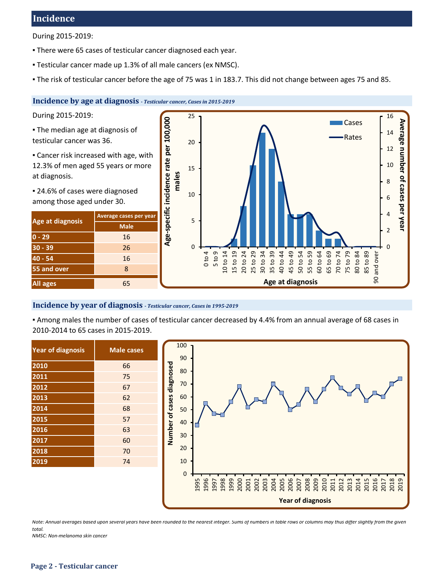## **Incidence**

During 2015-2019:

- **There were 65 cases of testicular cancer diagnosed each year.**
- Testicular cancer made up 1.3% of all male cancers (ex NMSC).
- The risk of testicular cancer before the age of 75 was 1 in 183.7. This did not change between ages 75 and 85.

## **Incidence by age at diagnosis** *- Testicular cancer, Cases in 2015-2019*

During 2015-2019:

**• The median age at diagnosis of** testicular cancer was 36.

**Example 2** Cancer risk increased with age, with 12.3% of men aged 55 years or more at diagnosis.

■ 24.6% of cases were diagnosed among those aged under 30.

| Age at diagnosis | Average cases per year |  |  |  |
|------------------|------------------------|--|--|--|
|                  | <b>Male</b>            |  |  |  |
| $0 - 29$         | 16                     |  |  |  |
| $30 - 39$        | 26                     |  |  |  |
| 40 - 54          | 16                     |  |  |  |
| 55 and over      | 8                      |  |  |  |
| <b>All ages</b>  | 65                     |  |  |  |



#### **Incidence by year of diagnosis** *- Testicular cancer, Cases in 1995-2019*

▪ Among males the number of cases of testicular cancer decreased by 4.4% from an annual average of 68 cases in 2010-2014 to 65 cases in 2015-2019.

| <b>Year of diagnosis</b> | <b>Male cases</b> |
|--------------------------|-------------------|
| $\overline{2010}$        | 66                |
| 2011                     | 75                |
| 2012                     | 67                |
| 2013                     | 62                |
| 2014                     | 68                |
| 2015                     | 57                |
| 2016                     | 63                |
| 2017                     | 60                |
| 2018                     | 70                |
| 2019                     | 74                |
|                          |                   |



*Note: Annual averages based upon several years have been rounded to the nearest integer. Sums of numbers in table rows or columns may thus differ slightly from the given total.*

*NMSC: Non-melanoma skin cancer*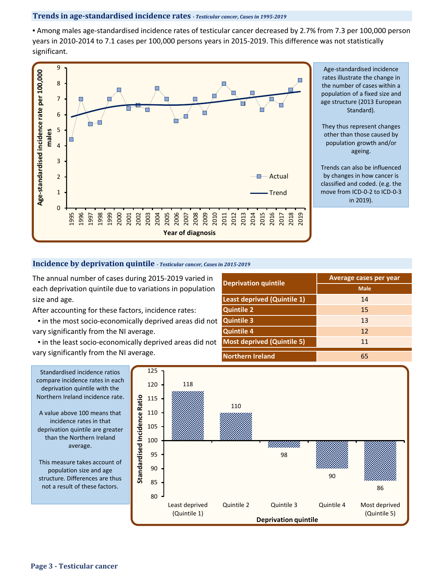#### **Trends in age-standardised incidence rates** *- Testicular cancer, Cases in 1995-2019*

▪ Among males age-standardised incidence rates of testicular cancer decreased by 2.7% from 7.3 per 100,000 person years in 2010-2014 to 7.1 cases per 100,000 persons years in 2015-2019. This difference was not statistically significant.



Age-standardised incidence rates illustrate the change in the number of cases within a population of a fixed size and age structure (2013 European Standard).

They thus represent changes other than those caused by population growth and/or ageing.

Trends can also be influenced by changes in how cancer is classified and coded. (e.g. the move from ICD-0-2 to ICD-0-3 in 2019).

#### **Incidence by deprivation quintile** *- Testicular cancer, Cases in 2015-2019*

The annual number of cases during 2015-2019 varied in each deprivation quintile due to variations in population size and age.

After accounting for these factors, incidence rates:

 ▪ in the most socio-economically deprived areas did not vary significantly from the NI average.

. in the least socio-economically deprived areas did not vary significantly from the NI average.

|                                    | Average cases per year |  |  |  |  |
|------------------------------------|------------------------|--|--|--|--|
| <b>Deprivation quintile</b>        | <b>Male</b>            |  |  |  |  |
| <b>Least deprived (Quintile 1)</b> | 14                     |  |  |  |  |
| <b>Quintile 2</b>                  | 15                     |  |  |  |  |
| <b>Quintile 3</b>                  | 13                     |  |  |  |  |
| <b>Quintile 4</b>                  | 12                     |  |  |  |  |
| <b>Most deprived (Quintile 5)</b>  | 11                     |  |  |  |  |
| <b>Northern Ireland</b>            | 65                     |  |  |  |  |



Standardised incidence ratios compare incidence rates in each deprivation quintile with the Northern Ireland incidence rate. A value above 100 means that

incidence rates in that deprivation quintile are greater than the Northern Ireland average.

This measure takes account of population size and age structure. Differences are thus not a result of these factors.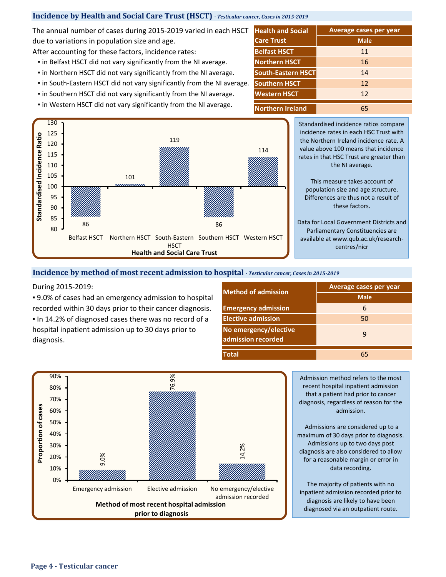## **Incidence by Health and Social Care Trust (HSCT) -** *Testicular cancer, Cases in 2015-2019*

The annual number of cases during 2015-2019 varied in each HSCT due to variations in population size and age.

After accounting for these factors, incidence rates: **Belfast HSCT** 

- **.** in Belfast HSCT did not vary significantly from the NI average.
- **.** in Northern HSCT did not vary significantly from the NI average.
- in South-Eastern HSCT did not vary significantly from the NI average.
- **.** in Southern HSCT did not vary significantly from the NI average.
- **.** in Western HSCT did not vary significantly from the NI average. **Northern Ireland**



**Western HSCT Southern HSCT** 65 12 12 **Average cases per year Health and Social Care Trust Male** 11 16 **South-Eastern HSCT** 14 **Northern HSCT**

> Standardised incidence ratios compare incidence rates in each HSC Trust with the Northern Ireland incidence rate. A value above 100 means that incidence rates in that HSC Trust are greater than the NI average.

This measure takes account of population size and age structure. Differences are thus not a result of these factors.

Data for Local Government Districts and Parliamentary Constituencies are available at www.qub.ac.uk/researchcentres/nicr

#### **Incidence by method of most recent admission to hospital** *- Testicular cancer, Cases in 2015-2019*

#### During 2015-2019:

■ 9.0% of cases had an emergency admission to hospital recorded within 30 days prior to their cancer diagnosis.

▪ In 14.2% of diagnosed cases there was no record of a hospital inpatient admission up to 30 days prior to diagnosis.

| <b>Nethod of admission</b>                  | <b>Average cases per year</b> |  |  |  |
|---------------------------------------------|-------------------------------|--|--|--|
|                                             | <b>Male</b>                   |  |  |  |
| <b>Emergency admission</b>                  | 6                             |  |  |  |
| <b>Elective admission</b>                   | 50                            |  |  |  |
| No emergency/elective<br>admission recorded | q                             |  |  |  |
| <b>Total</b>                                | 65                            |  |  |  |



Admissions are considered up to a maximum of 30 days prior to diagnosis. Admissions up to two days post diagnosis are also considered to allow for a reasonable margin or error in data recording.

The majority of patients with no inpatient admission recorded prior to diagnosis are likely to have been diagnosed via an outpatient route.

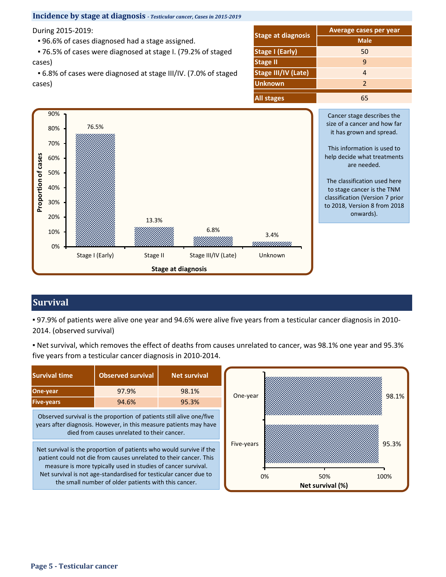

## **Survival**

▪ 97.9% of patients were alive one year and 94.6% were alive five years from a testicular cancer diagnosis in 2010- 2014. (observed survival)

▪ Net survival, which removes the effect of deaths from causes unrelated to cancer, was 98.1% one year and 95.3% five years from a testicular cancer diagnosis in 2010-2014.

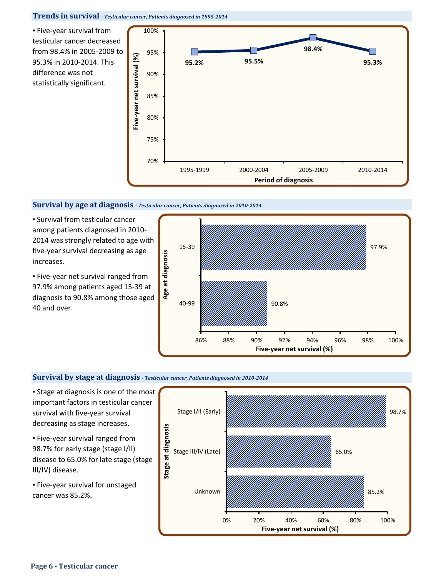#### **Trends in survival** *- Testicular cancer, Patients diagnosed in 1995-2014*

▪ Five-year survival from testicular cancer decreased from 98.4% in 2005-2009 to 95.3% in 2010-2014. This difference was not statistically significant.



#### **Survival by age at diagnosis** *- Testicular cancer, Patients diagnosed in 2010-2014*

▪ Survival from testicular cancer among patients diagnosed in 2010- 2014 was strongly related to age with five-year survival decreasing as age increases.

**Eive-year net survival ranged from** 97.9% among patients aged 15-39 at diagnosis to 90.8% among those aged 40 and over.



#### **Survival by stage at diagnosis** *- Testicular cancer, Patients diagnosed in 2010-2014*

**Example 3 Is 1 Stage at diagnosis is one of the most** important factors in testicular cancer survival with five-year survival decreasing as stage increases.

- Five-year survival ranged from 98.7% for early stage (stage I/II) disease to 65.0% for late stage (stage III/IV) disease.
- **Eive-year survival for unstaged** cancer was 85.2%.

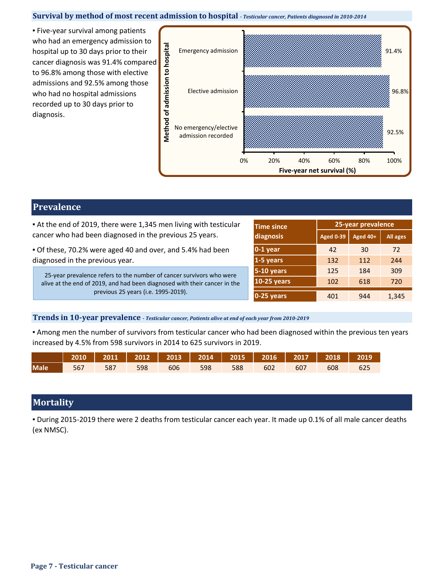#### **Survival by method of most recent admission to hospital** *- Testicular cancer, Patients diagnosed in 2010-2014*

▪ Five-year survival among patients who had an emergency admission to hospital up to 30 days prior to their cancer diagnosis was 91.4% compared to 96.8% among those with elective admissions and 92.5% among those who had no hospital admissions recorded up to 30 days prior to diagnosis.



## **Prevalence**

**At the end of 2019, there were 1,345 men living with testicular** cancer who had been diagnosed in the previous 25 years.

▪ Of these, 70.2% were aged 40 and over, and 5.4% had been diagnosed in the previous year.

25-year prevalence refers to the number of cancer survivors who were alive at the end of 2019, and had been diagnosed with their cancer in the previous 25 years (i.e. 1995-2019).

| <b>Time since</b>  | 25-year prevalence |          |                 |  |
|--------------------|--------------------|----------|-----------------|--|
| diagnosis          | <b>Aged 0-39</b>   | Aged 40+ | <b>All ages</b> |  |
| $0-1$ year         | 42                 | 30       | 72              |  |
| 1-5 years          | 132                | 112      | 244             |  |
| 5-10 years         | 125                | 184      | 309             |  |
| <b>10-25 years</b> | 102                | 618      | 720             |  |
| 0-25 years         | 401                | 944      | 1,345           |  |

### **Trends in 10-year prevalence** *- Testicular cancer, Patients alive at end of each year from 2010-2019*

▪ Among men the number of survivors from testicular cancer who had been diagnosed within the previous ten years increased by 4.5% from 598 survivors in 2014 to 625 survivors in 2019.

|             | 2010   2011   2012   2013   2014   2015   2016   2017   2018   2019 |  |  |                                         |  |  |
|-------------|---------------------------------------------------------------------|--|--|-----------------------------------------|--|--|
| <b>Male</b> |                                                                     |  |  | 567 587 598 606 598 588 602 607 608 625 |  |  |

## **Mortality**

▪ During 2015-2019 there were 2 deaths from testicular cancer each year. It made up 0.1% of all male cancer deaths (ex NMSC).